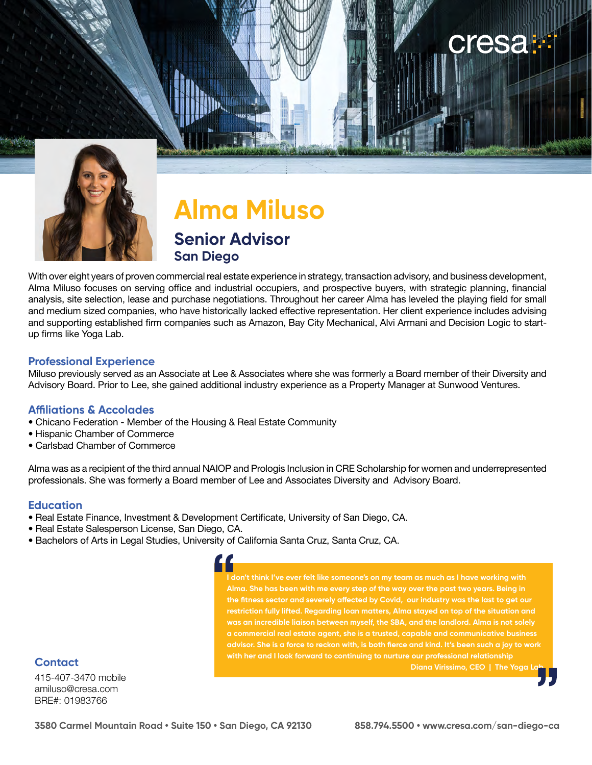

## **Alma Miluso Senior Advisor San Diego**

With over eight years of proven commercial real estate experience in strategy, transaction advisory, and business development, Alma Miluso focuses on serving office and industrial occupiers, and prospective buyers, with strategic planning, financial analysis, site selection, lease and purchase negotiations. Throughout her career Alma has leveled the playing field for small and medium sized companies, who have historically lacked effective representation. Her client experience includes advising and supporting established firm companies such as Amazon, Bay City Mechanical, Alvi Armani and Decision Logic to startup firms like Yoga Lab.

### **Professional Experience**

Miluso previously served as an Associate at Lee & Associates where she was formerly a Board member of their Diversity and Advisory Board. Prior to Lee, she gained additional industry experience as a Property Manager at Sunwood Ventures.

### **Affiliations & Accolades**

- Chicano Federation Member of the Housing & Real Estate Community
- Hispanic Chamber of Commerce
- Carlsbad Chamber of Commerce

Alma was as a recipient of the third annual NAIOP and Prologis Inclusion in CRE Scholarship for women and underrepresented professionals. She was formerly a Board member of Lee and Associates Diversity and Advisory Board.

### **Education**

- Real Estate Finance, Investment & Development Certificate, University of San Diego, CA.
- Real Estate Salesperson License, San Diego, CA.
- Bachelors of Arts in Legal Studies, University of California Santa Cruz, Santa Cruz, CA.

### **Contact**

415-407-3470 mobile amiluso@cresa.com BRE#: 01983766

n't think I've ever felt like someone's on my team as much as I have working with **th Alma. She has been with me every step of the way over the past two years. Being in the fitness sector and severely affected by Covid, our industry was the last to get our restriction fully lifted. Regarding loan matters, Alma stayed on top of the situation and was an incredible liaison between myself, the SBA, and the landlord. Alma is not solely a commercial real estate agent, she is a trusted, capable and communicative business advisor. She is a force to reckon with, is both fierce and kind. It's been such a joy to work with her and I look forward to continuing to nurture our professional relationship Diana Virissimo, CEO | The Yoga L** 

cresa